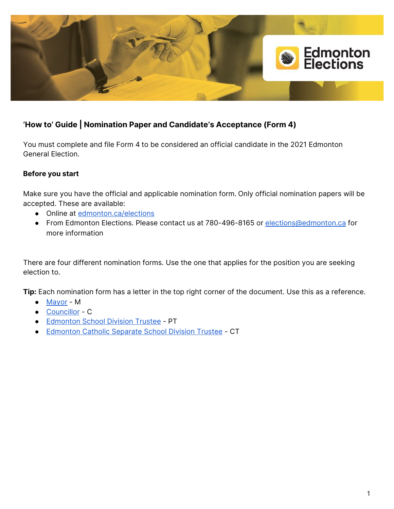

# **'How to' Guide | Nomination Paper and Candidate's Acceptance (Form 4)**

You must complete and file Form 4 to be considered an official candidate in the 2021 Edmonton General Election.

# **Before you start**

Make sure you have the official and applicable nomination form. Only official nomination papers will be accepted. These are available:

- Online at [edmonton.ca/elections](https://www.edmonton.ca/city_government/municipal_elections/nomination-process.aspx)
- From Edmonton Elections. Please contact us at 780-496-8165 or [elections@edmonton.ca](mailto:elections@edmonton.ca) for more information

There are four different nomination forms. Use the one that applies for the position you are seeking election to.

**Tip:** Each nomination form has a letter in the top right corner of the document. Use this as a reference.

- [Mayor](https://www.edmonton.ca/city_government/documents/elections/2021_Form_04_Mayor_Nomination_LGS0753.pdf) M
- [Councillor](https://www.edmonton.ca/city_government/documents/elections/2021_Form_04_Councillor_Nomination_LGS0753.pdf) C
- [Edmonton](https://www.edmonton.ca/city_government/documents/elections/2021_Form_04_Public_School_Trustee_LGS0753.pdf) School Division Trustee PT
- [Edmonton](https://www.edmonton.ca/city_government/documents/elections/2021_Form_04_Catholic_School_Trustee_LGS0753.pdf) Catholic Separate School Division Trustee CT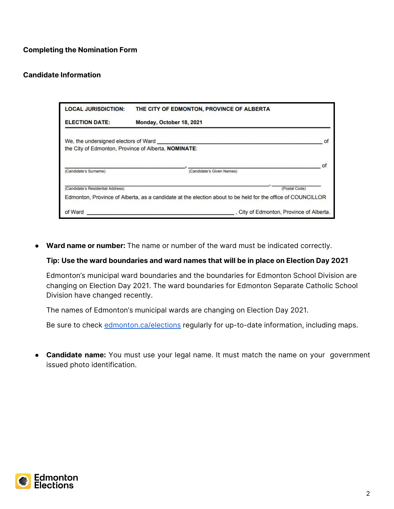# **Completing the Nomination Form**

### **Candidate Information**

| <b>LOCAL JURISDICTION:</b>        | THE CITY OF EDMONTON, PROVINCE OF ALBERTA                                                                   |
|-----------------------------------|-------------------------------------------------------------------------------------------------------------|
| <b>ELECTION DATE:</b>             | Monday, October 18, 2021                                                                                    |
|                                   | We, the undersigned electors of Ward<br>of                                                                  |
|                                   | the City of Edmonton, Province of Alberta, NOMINATE:                                                        |
| (Candidate's Surname)             | of<br>(Candidate's Given Names)                                                                             |
| (Candidate's Residential Address) | (Postal Code)                                                                                               |
|                                   | Edmonton, Province of Alberta, as a candidate at the election about to be held for the office of COUNCILLOR |
| of Ward                           | City of Edmonton, Province of Alberta.                                                                      |

● **Ward name or number:** The name or number of the ward must be indicated correctly.

#### **Tip: Use the ward boundaries and ward names that will be in place on Election Day 2021**

Edmonton's municipal ward boundaries and the boundaries for Edmonton School Division are changing on Election Day 2021. The ward boundaries for Edmonton Separate Catholic School Division have changed recently.

The names of Edmonton's municipal wards are changing on Election Day 2021.

Be sure to check [edmonton.ca/elections](https://www.edmonton.ca/city_government/municipal_elections/ward-system.aspx) regularly for up-to-date information, including maps.

**● Candidate name:** You must use your legal name. It must match the name on your government issued photo identification.

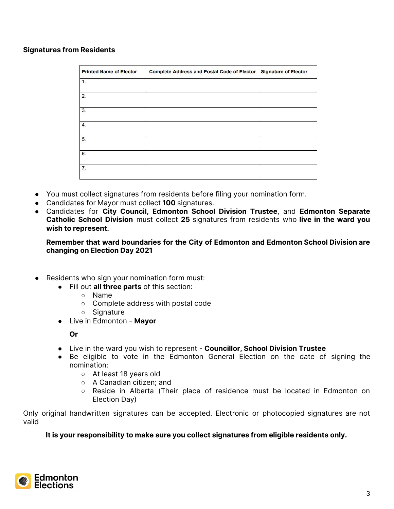## **Signatures from Residents**

| <b>Printed Name of Elector</b> | <b>Complete Address and Postal Code of Elector</b> | <b>Signature of Elector</b> |
|--------------------------------|----------------------------------------------------|-----------------------------|
| $\mathbf{1}$ .                 |                                                    |                             |
| 2.                             |                                                    |                             |
| 3.                             |                                                    |                             |
| 4.                             |                                                    |                             |
| 5.                             |                                                    |                             |
| 6.                             |                                                    |                             |
| 7.                             |                                                    |                             |

- You must collect signatures from residents before filing your nomination form.
- Candidates for Mayor must collect **100** signatures.
- Candidates for **City Council, Edmonton School Division Trustee**, and **Edmonton Separate Catholic School Division** must collect **25** signatures from residents who **live in the ward you wish to represent.**

**Remember that ward boundaries for the City of Edmonton and Edmonton School Division are changing on Election Day 2021**

- Residents who sign your nomination form must:
	- Fill out **all three parts** of this section:
		- Name
		- Complete address with postal code
		- Signature
	- Live in Edmonton **Mayor**

**Or**

- Live in the ward you wish to represent **Councillor, School Division Trustee**
- Be eligible to vote in the Edmonton General Election on the date of signing the nomination:
	- At least 18 years old
	- A Canadian citizen; and
	- Reside in Alberta (Their place of residence must be located in Edmonton on Election Day)

Only original handwritten signatures can be accepted. Electronic or photocopied signatures are not valid

**It is your responsibility to make sure you collect signatures from eligible residents only.**

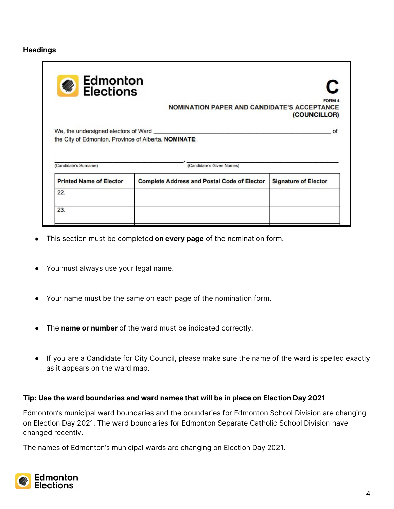### **Headings**

| <b>Edmonton</b><br><b>Elections</b>                                                          | <b>NOMINATION PAPER AND CANDIDATE'S ACCEPTANCE</b> | <b>FORM 4</b><br>(COUNCILLOR) |
|----------------------------------------------------------------------------------------------|----------------------------------------------------|-------------------------------|
| We, the undersigned electors of Ward<br>the City of Edmonton, Province of Alberta, NOMINATE: |                                                    | of                            |
|                                                                                              |                                                    |                               |
| (Candidate's Surname)                                                                        | (Candidate's Given Names)                          |                               |
| <b>Printed Name of Elector</b>                                                               | <b>Complete Address and Postal Code of Elector</b> | <b>Signature of Elector</b>   |
| 22.                                                                                          |                                                    |                               |

- This section must be completed **on every page** of the nomination form.
- You must always use your legal name.
- Your name must be the same on each page of the nomination form.
- The **name or number** of the ward must be indicated correctly.
- If you are a Candidate for City Council, please make sure the name of the ward is spelled exactly as it appears on the ward map.

### **Tip: Use the ward boundaries and ward names that will be in place on Election Day 2021**

Edmonton's municipal ward boundaries and the boundaries for Edmonton School Division are changing on Election Day 2021. The ward boundaries for Edmonton Separate Catholic School Division have changed recently.

The names of Edmonton's municipal wards are changing on Election Day 2021.

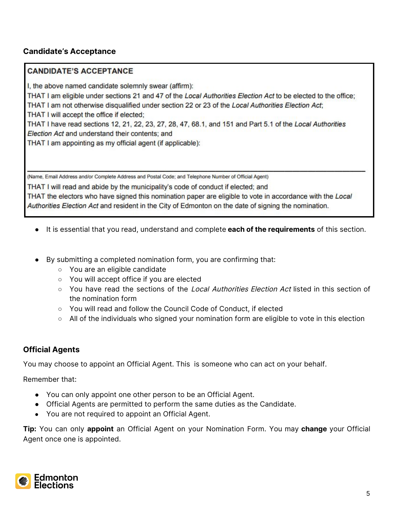# **Candidate's Acceptance**

## **CANDIDATE'S ACCEPTANCE**

I, the above named candidate solemnly swear (affirm):

THAT I am eligible under sections 21 and 47 of the Local Authorities Election Act to be elected to the office; THAT I am not otherwise disqualified under section 22 or 23 of the Local Authorities Election Act;

THAT I will accept the office if elected;

THAT I have read sections 12, 21, 22, 23, 27, 28, 47, 68.1, and 151 and Part 5.1 of the Local Authorities Election Act and understand their contents; and

THAT I am appointing as my official agent (if applicable):

(Name, Email Address and/or Complete Address and Postal Code; and Telephone Number of Official Agent)

THAT I will read and abide by the municipality's code of conduct if elected; and THAT the electors who have signed this nomination paper are eligible to vote in accordance with the Local Authorities Election Act and resident in the City of Edmonton on the date of signing the nomination.

- It is essential that you read, understand and complete **each of the requirements** of this section.
- By submitting a completed nomination form, you are confirming that:
	- You are an eligible candidate
	- You will accept office if you are elected
	- You have read the sections of the Local Authorities Election Act listed in this section of the nomination form
	- You will read and follow the Council Code of Conduct, if elected
	- All of the individuals who signed your nomination form are eligible to vote in this election

# **Official Agents**

You may choose to appoint an Official Agent. This is someone who can act on your behalf.

Remember that:

- You can only appoint one other person to be an Official Agent.
- Official Agents are permitted to perform the same duties as the Candidate.
- You are not required to appoint an Official Agent.

**Tip:** You can only **appoint** an Official Agent on your Nomination Form. You may **change** your Official Agent once one is appointed.

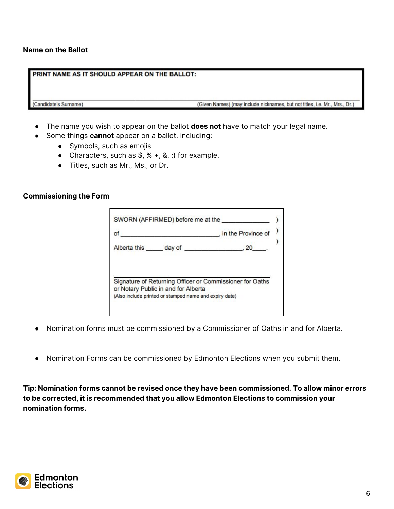### **Name on the Ballot**

#### PRINT NAME AS IT SHOULD APPEAR ON THE BALLOT:

(Candidate's Surname)

(Given Names) (may include nicknames, but not titles, i.e. Mr., Mrs., Dr.)

- The name you wish to appear on the ballot **does not** have to match your legal name.
	- Some things **cannot** appear on a ballot, including:
		- Symbols, such as emojis
		- Characters, such as  $\frac{1}{2}$ ,  $\frac{1}{2}$ ,  $\frac{1}{2}$ ,  $\frac{1}{2}$ ,  $\frac{1}{2}$ ,  $\frac{1}{2}$ ,  $\frac{1}{2}$ ,  $\frac{1}{2}$ ,  $\frac{1}{2}$ ,  $\frac{1}{2}$ ,  $\frac{1}{2}$ ,  $\frac{1}{2}$ ,  $\frac{1}{2}$ ,  $\frac{1}{2}$ ,  $\frac{1}{2}$ ,  $\frac{1}{2}$ ,  $\frac{1}{2}$ ,  $\frac{1}{2}$ ,
		- Titles, such as Mr., Ms., or Dr.

#### **Commissioning the Form**

| of                                                                                              | . in the Province of |
|-------------------------------------------------------------------------------------------------|----------------------|
| Alberta this day of 30, 20                                                                      |                      |
|                                                                                                 |                      |
|                                                                                                 |                      |
|                                                                                                 |                      |
|                                                                                                 |                      |
|                                                                                                 |                      |
| Signature of Returning Officer or Commissioner for Oaths<br>or Notary Public in and for Alberta |                      |

- Nomination forms must be commissioned by a Commissioner of Oaths in and for Alberta.
- Nomination Forms can be commissioned by Edmonton Elections when you submit them.

**Tip: Nomination forms cannot be revised once they have been commissioned. To allow minor errors to be corrected, it is recommended that you allow Edmonton Elections to commission your nomination forms.**